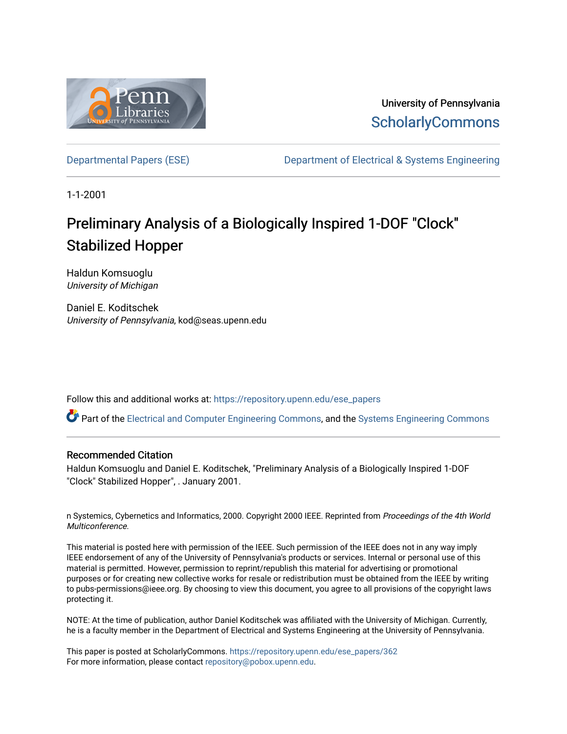

University of Pennsylvania **ScholarlyCommons** 

[Departmental Papers \(ESE\)](https://repository.upenn.edu/ese_papers) [Department of Electrical & Systems Engineering](https://repository.upenn.edu/ese) 

1-1-2001

# Preliminary Analysis of a Biologically Inspired 1-DOF "Clock" Stabilized Hopper

Haldun Komsuoglu University of Michigan

Daniel E. Koditschek University of Pennsylvania, kod@seas.upenn.edu

Follow this and additional works at: [https://repository.upenn.edu/ese\\_papers](https://repository.upenn.edu/ese_papers?utm_source=repository.upenn.edu%2Fese_papers%2F362&utm_medium=PDF&utm_campaign=PDFCoverPages)

Part of the [Electrical and Computer Engineering Commons](http://network.bepress.com/hgg/discipline/266?utm_source=repository.upenn.edu%2Fese_papers%2F362&utm_medium=PDF&utm_campaign=PDFCoverPages), and the [Systems Engineering Commons](http://network.bepress.com/hgg/discipline/309?utm_source=repository.upenn.edu%2Fese_papers%2F362&utm_medium=PDF&utm_campaign=PDFCoverPages) 

#### Recommended Citation

Haldun Komsuoglu and Daniel E. Koditschek, "Preliminary Analysis of a Biologically Inspired 1-DOF "Clock" Stabilized Hopper", . January 2001.

n Systemics, Cybernetics and Informatics, 2000. Copyright 2000 IEEE. Reprinted from Proceedings of the 4th World Multiconference.

This material is posted here with permission of the IEEE. Such permission of the IEEE does not in any way imply IEEE endorsement of any of the University of Pennsylvania's products or services. Internal or personal use of this material is permitted. However, permission to reprint/republish this material for advertising or promotional purposes or for creating new collective works for resale or redistribution must be obtained from the IEEE by writing to pubs-permissions@ieee.org. By choosing to view this document, you agree to all provisions of the copyright laws protecting it.

NOTE: At the time of publication, author Daniel Koditschek was affiliated with the University of Michigan. Currently, he is a faculty member in the Department of Electrical and Systems Engineering at the University of Pennsylvania.

This paper is posted at ScholarlyCommons. [https://repository.upenn.edu/ese\\_papers/362](https://repository.upenn.edu/ese_papers/362) For more information, please contact [repository@pobox.upenn.edu.](mailto:repository@pobox.upenn.edu)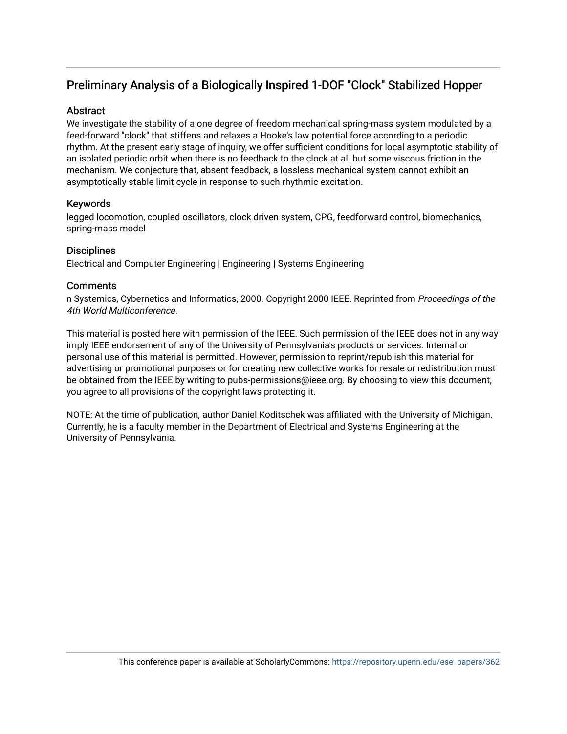## Preliminary Analysis of a Biologically Inspired 1-DOF "Clock" Stabilized Hopper

#### Abstract

We investigate the stability of a one degree of freedom mechanical spring-mass system modulated by a feed-forward "clock" that stiffens and relaxes a Hooke's law potential force according to a periodic rhythm. At the present early stage of inquiry, we offer sufficient conditions for local asymptotic stability of an isolated periodic orbit when there is no feedback to the clock at all but some viscous friction in the mechanism. We conjecture that, absent feedback, a lossless mechanical system cannot exhibit an asymptotically stable limit cycle in response to such rhythmic excitation.

#### Keywords

legged locomotion, coupled oscillators, clock driven system, CPG, feedforward control, biomechanics, spring-mass model

### **Disciplines**

Electrical and Computer Engineering | Engineering | Systems Engineering

### **Comments**

n Systemics, Cybernetics and Informatics, 2000. Copyright 2000 IEEE. Reprinted from Proceedings of the 4th World Multiconference.

This material is posted here with permission of the IEEE. Such permission of the IEEE does not in any way imply IEEE endorsement of any of the University of Pennsylvania's products or services. Internal or personal use of this material is permitted. However, permission to reprint/republish this material for advertising or promotional purposes or for creating new collective works for resale or redistribution must be obtained from the IEEE by writing to pubs-permissions@ieee.org. By choosing to view this document, you agree to all provisions of the copyright laws protecting it.

NOTE: At the time of publication, author Daniel Koditschek was affiliated with the University of Michigan. Currently, he is a faculty member in the Department of Electrical and Systems Engineering at the University of Pennsylvania.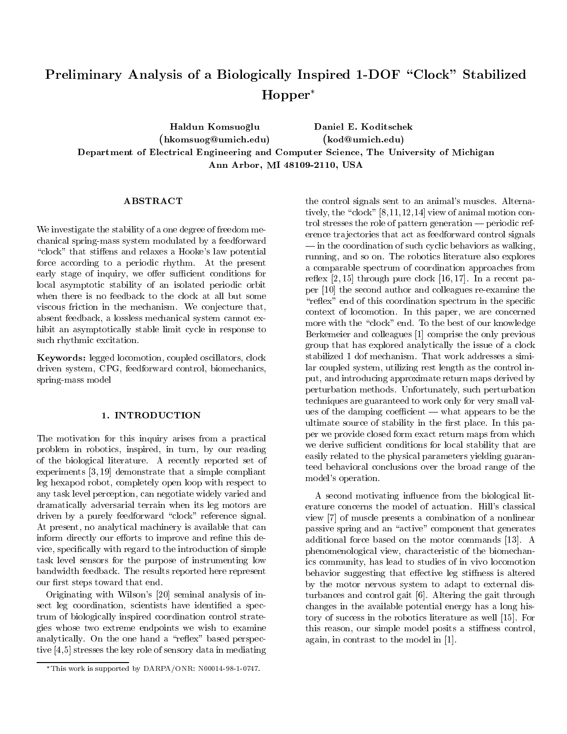## Preliminary Analysis of a Biologically Inspired 1-DOF "Clock" Stabilized Hopper

Haldun Komsuoglu Daniel E. Koditschek (hkomsuog@umich.edu) (kod@umich.edu) Department of Electrical Engineering and Computer Science, The University of Michigan Ann Arbor, MI 48109-2110, USA

We investigate the stability of a one degree of freedom mechanical spring-mass system modulated by a feedforward "clock" that stiffens and relaxes a Hooke's law potential force according to a periodic rhythm. At the present early stage of inquiry, we offer sufficient conditions for local asymptotic stability of an isolated periodic orbit when there is no feedback to the clock at all but some viscous friction in the mechanism. We conjecture that, absent feedback, a lossless mechanical system cannot exhibit an asymptotically stable limit cycle in response to such rhythmic excitation.

Keywords: legged locomotion, coupled oscillators, clock driven system, CPG, feedforward control, biomechanics, spring-mass model

The motivation for this inquiry arises from a practical problem in robotics, inspired, in turn, by our reading of the biological literature. A recently reported set of experiments [3, 19] demonstrate that a simple compliant leg hexapod robot, completely open loop with respect to any task level perception, can negotiate widely varied and dramatically adversarial terrain when its leg motors are driven by a purely feedforward "clock" reference signal. At present, no analytical machinery is available that can inform directly our efforts to improve and refine this device, specically with regard to the introduction of simple task level sensors for the purpose of instrumenting low bandwidth feedback. The results reported here represent our first steps toward that end.

Originating with Wilson's [20] seminal analysis of insect leg coordination, scientists have identified a spectrum of biologically inspired coordination control strategies whose two extreme endpoints we wish to examine analytically. On the one hand a "reflex" based perspective [4,5] stresses the key role of sensory data in mediating

the control signals sent to an animal's muscles. Alternatively, the "clock"  $[8,11,12,14]$  view of animal motion control stresses the role of pattern generation  $-$  periodic reference trajectories that act as feedforward control signals  $\equiv$  in the coordination of such cyclic behaviors as walking, running, and so on. The robotics literature also explores a comparable spectrum of coordination approaches from reflex  $[2, 15]$  through pure clock  $[16, 17]$ . In a recent paper [10] the second author and colleagues re-examine the "reflex" end of this coordination spectrum in the specific context of locomotion. In this paper, we are concerned more with the "clock" end. To the best of our knowledge Berkemeier and colleagues [1] comprise the only previous group that has explored analytically the issue of a clock stabilized 1 dof mechanism. That work addresses a similar coupled system, utilizing rest length as the control input, and introducing approximate return maps derived by perturbation methods. Unfortunately, such perturbation techniques are guaranteed to work only for very small values of the damping coefficient  $-$  what appears to be the ultimate source of stability in the first place. In this paper we provide closed form exact return maps from which we derive sufficient conditions for local stability that are easily related to the physical parameters yielding guaranteed behavioral conclusions over the broad range of the model's operation.

A second motivating influence from the biological literature concerns the model of actuation. Hill's classical view [7] of muscle presents a combination of a nonlinear passive spring and an "active" component that generates additional force based on the motor commands [13]. A phenomenological view, characteristic of the biomechanics community, has lead to studies of in vivo locomotion behavior suggesting that effective leg stiffness is altered by the motor nervous system to adapt to external disturbances and control gait [6]. Altering the gait through changes in the available potential energy has a long history of success in the robotics literature as well [15]. For this reason, our simple model posits a stiffness control, again, in contrast to the model in [1].

This work is supported by DARPA/ONR: N00014-98-1-0747.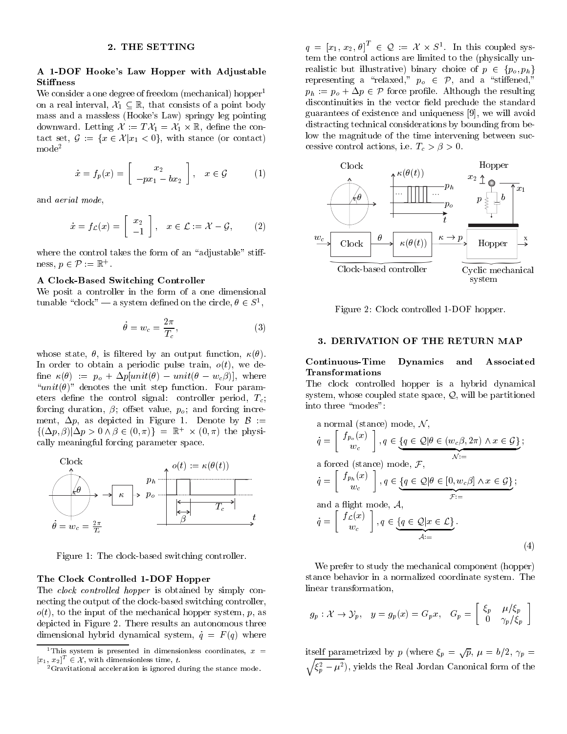#### 2. THE SETTING

#### A 1-DOF Hooke's Law Hopper with Adjustable **Stiffness**

We consider a one degree of freedom (mechanical) hopper<sup>1</sup> on a real interval,  $\mathcal{X}_1 \subset \mathbb{R}$ , that consists of a point body mass and a massless (Hooke's Law) springy leg pointing downware the contract of the contract  $\alpha$  is the contract of the contact set,  $\mathcal{G} := \{x \in \mathcal{X} | x_1 < 0\}$ , with stance (or contact) mode<sup>2</sup>

$$
\dot{x} = f_p(x) = \begin{bmatrix} x_2 \\ -px_1 - bx_2 \end{bmatrix}, \quad x \in \mathcal{G} \tag{1}
$$

and aerial mode,

$$
\dot{x} = f_{\mathcal{L}}(x) = \begin{bmatrix} x_2 \\ -1 \end{bmatrix}, \quad x \in \mathcal{L} := \mathcal{X} - \mathcal{G}, \quad (2)
$$

where the control takes the form of an "adjustable" stiff $ness, p \in P := \mathbb{R}$ 

#### A Clock-Based Switching Controller

We posit a controller in the form of a one dimensional tunable clock  $\equiv$  a system defined on the circle,  $\sigma \in S$ ,

$$
\dot{\theta} = w_c = \frac{2\pi}{T_c},\tag{3}
$$

whose state,  $\theta$ , is filtered by an output function,  $\kappa(\theta)$ . In order to obtain a periodic pulse train,  $o(t)$ , we define  $\kappa(\theta) := p_o + \Delta p[unit(\theta) - unit(\theta - w_c\beta)],$  where " $unit(\theta)$ " denotes the unit step function. Four parameters define the control signal: controller period,  $T_c$ ; forcing duration,  $\beta$ ; offset value,  $p_o$ ; and forcing increment,  $\Delta p$ , as depicted in Figure 1. Denote by  $\beta$  :=  $\{(\Delta p, p)|\Delta p>0 \wedge p\in (0, \pi)\}\equiv \mathbb{R}_+\times (0, \pi)$  the physically meaningful forcing parameter space.



Figure 1: The clock-based switching controller.

#### The Clock Controlled 1-DOF Hopper

The *clock controlled hopper* is obtained by simply connecting the output of the clock-based switching controller,  $o(t)$ , to the input of the mechanical hopper system, p, as depicted in Figure 2. There results an autonomous three dimensional hybrid dynamical system,  $\dot{q} = F(q)$  where

 $q = |x_1, x_2, \theta| \in \mathcal{Q} := \mathcal{X} \times \mathcal{S}^+$ . In this coupled system the control actions are limited to the (physically unrealistic but illustrative) binary choice of  $p \in \{p_o, p_h\}$ representing a "relaxed,"  $p_o \in \mathcal{P}$ , and a "stiffened,"  $p_h := p_o + \Delta p \in \mathcal{P}$  force profile. Although the resulting discontinuities in the vector field preclude the standard guarantees of existence and uniqueness [9], we will avoid distracting technical considerations by bounding from below the magnitude of the time intervening between successive control actions, i.e.  $T_c > \beta > 0$ .



Figure 2: Clock controlled 1-DOF hopper.

#### 3. DERIVATION OF THE RETURN MAP

#### Continuous-Time Dynamics and Associated Transformations

The clock controlled hopper is a hybrid dynamical system, whose coupled state space,  $Q$ , will be partitioned into three "modes":

a normal (stance) mode, 
$$
N
$$
,  
\n
$$
\dot{q} = \begin{bmatrix} f_{p_o}(x) \\ w_c \end{bmatrix}, q \in \underbrace{\{q \in \mathcal{Q} | \theta \in (w_c \beta, 2\pi) \land x \in \mathcal{G}\}}_{\mathcal{N} :=}
$$
\na forced (stance) mode,  $\mathcal{F}$ ,  
\n
$$
\dot{q} = \begin{bmatrix} f_{p_h}(x) \\ w_c \end{bmatrix}, q \in \underbrace{\{q \in \mathcal{Q} | \theta \in [0, w_c \beta] \land x \in \mathcal{G}\}}_{\mathcal{F} :=}
$$
\nand a flight mode,  $\mathcal{A}$ ,  
\n
$$
\dot{q} = \begin{bmatrix} f_{\mathcal{L}}(x) \\ w_c \end{bmatrix}, q \in \underbrace{\{q \in \mathcal{Q} | x \in \mathcal{L}\}}_{\mathcal{A} :=}
$$
\n
$$
(4)
$$

We prefer to study the mechanical component (hopper) stance behavior in a normalized coordinate system. The linear transformation,

$$
g_p: \mathcal{X} \to \mathcal{Y}_p, \quad y = g_p(x) = G_p x, \quad G_p = \begin{bmatrix} \xi_p & \mu/\xi_p \\ 0 & \gamma_p/\xi_p \end{bmatrix}
$$

itself parametrized by p (where  $\xi_n = \sqrt{p}$ ,  $\mu = b/2$ ,  $\gamma_n =$  $\sqrt{\xi_n^2 - \mu^2}$ , yields the Real Jordan Canonical form of the

 $\tau$  ints system is presented in dimensionless coordinates,  $x =$   $\tau$  if

 $[x_1, x_2]^\top \in \mathcal{X}$ , with dimensionless time, t.<br><sup>2</sup> Gravitational acceleration is ignored during the stance mode.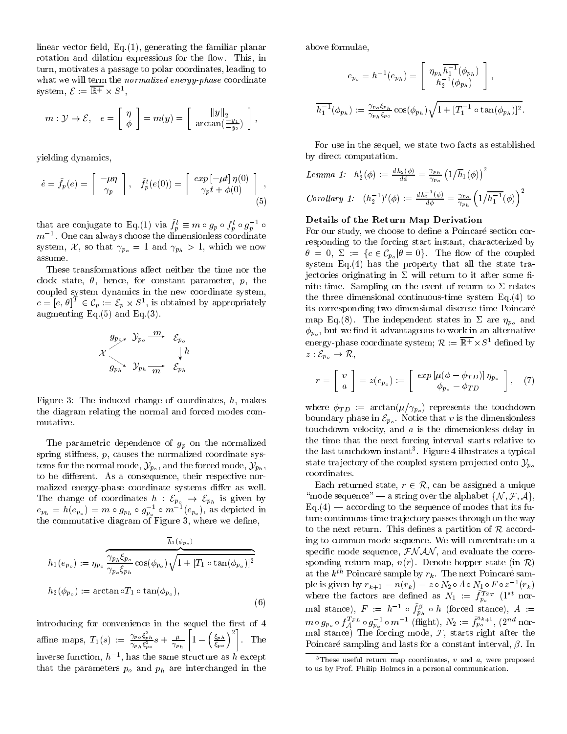linear vector field,  $Eq.(1)$ , generating the familiar planar rotation and dilation expressions for the flow. This, in turn, motivates a passage to polar coordinates, leading to what we will term the *normalized energy-phase* coordinate system,  $C := \mathbb{R}^+ \times \mathcal{O}^-,$ 

$$
m: \mathcal{Y} \to \mathcal{E}, \quad e = \left[ \begin{array}{c} \eta \\ \phi \end{array} \right] = m(y) = \left[ \begin{array}{c} ||y||_{2} \\ \arctan(\frac{-y_{1}}{-y_{2}}) \end{array} \right],
$$

yielding dynamics,

$$
\dot{e} = \tilde{f}_p(e) = \begin{bmatrix} -\mu \eta \\ \gamma_p \end{bmatrix}, \quad \tilde{f}_p^t(e(0)) = \begin{bmatrix} exp\left[-\mu t\right] \eta(0) \\ \gamma_p t + \phi(0) \end{bmatrix}, \tag{5}
$$

that are conjugate to Eq.(1) via  $f_p^{\iota} \equiv m \circ g_p \circ f_p^{\iota} \circ g_p^{-1} \circ$  $m^{-1}$ . One can always choose the dimensionless coordinate system,  $\mathcal{X}$ , so that  $\gamma_{p_o} = 1$  and  $\gamma_{p_h} > 1$ , which we now assume.

These transformations affect neither the time nor the clock state,  $\theta$ , hence, for constant parameter, p, the coupled system dynamics in the new coordinate system,  $c = |e, \theta|^{+} \in C_n := \mathcal{E}_n \times S^+$ , is obtained by appropriately augmenting Eq. $(5)$  and Eq. $(3)$ .

$$
\begin{array}{ccc}\n & g_{p_o} & y_{p_o} \xrightarrow{m} & \mathcal{E}_{p_o} \\
\mathcal{X} & & \downarrow h \\
 & g_{p_h} & y_{p_h} \xrightarrow{m} & \mathcal{E}_{p_h}\n\end{array}
$$

Figure 3: The induced change of coordinates,  $h$ , makes the diagram relating the normal and forced modes com mutative.

The parametric dependence of  $g_p$  on the normalized spring stiffness,  $p$ , causes the normalized coordinate systems for the normal mode,  $\mathcal{Y}_{p_o}$ , and the forced mode,  $\mathcal{Y}_{p_h}$ , to be different. As a consequence, their respective normalized energy-phase coordinate systems differ as well.  $e_{p_h} = h(e_{p_o}) = m \circ g_{p_h} \circ g_{p_o}^{-1} \circ m^{-1}(e_{p_o})$ , as depicted in the commutative diagram of Figure 3, where we dene,

$$
h_1(e_{p_o}) := \eta_{p_o} \frac{\overline{h_1(\phi_{p_o})}}{\gamma_{p_o} \xi_{p_h}} \cos(\phi_{p_o}) \sqrt{1 + [T_1 \circ \tan(\phi_{p_o})]^2}
$$
  

$$
h_2(\phi_{p_o}) := \arctan \circ T_1 \circ \tan(\phi_{p_o}),
$$
  
(6)

introducing for convenience in the sequel the first of 4 affine maps,  $T_1(s) := \frac{\gamma_{Po} \xi_{ph}^2}{\gamma_{Ph} \xi_{po}^2} s + \frac{\mu}{\gamma_{Ph}} \left[ 1 - \left( \frac{\xi_{ph}}{\xi_{po}} \right)^2 \right].$  T  $\left\{ \xi_{ph} \right\}^2$   $\eta$  $\left[\frac{\xi_{ph}}{\xi_{no}}\right]^2$ . The inverse function,  $h^{-1}$ , has the same structure as h except that the parameters  $p_o$  and  $p_h$  are interchanged in the

above formulae,

$$
e_{p_o} = h^{-1}(e_{p_h}) = \begin{bmatrix} \eta_{p_h} \overline{h_1^{-1}}(\phi_{p_h}) \\ h_2^{-1}(\phi_{p_h}) \end{bmatrix},
$$
  

$$
\overline{h_1^{-1}}(\phi_{p_h}) := \frac{\gamma_{p_o} \xi_{p_h}}{\gamma_{p_h} \xi_{p_o}} \cos(\phi_{p_h}) \sqrt{1 + [T_1^{-1} \circ \tan(\phi_{p_h})]^2}.
$$

For use in the sequel, we state two facts as established by direct computation.

Lemma 1: 
$$
h'_2(\phi) := \frac{dh_2(\phi)}{d\phi} = \frac{\gamma_{p_h}}{\gamma_{p_o}} \left(1/\overline{h}_1(\phi)\right)^2
$$
  
\nCorollary 1:  $(h_2^{-1})'(\phi) := \frac{dh_2^{-1}(\phi)}{d\phi} = \frac{\gamma_{p_o}}{\gamma_{p_h}} \left(1/\overline{h_1^{-1}}(\phi)\right)^2$ 

#### Details of the Return Map Derivation

For our study, we choose to define a Poincaré section corresponding to the forcing start instant, characterized by  $\theta = 0, \ \Sigma := \{c \in C_{p_o} | \theta = 0\}.$  The flow of the coupled system  $Eq.(4)$  has the property that all the state trajectories originating in  $\Sigma$  will return to it after some finite time. Sampling on the event of return to  $\Sigma$  relates the three dimensional continuous-time system Eq.(4) to its corresponding two dimensional discrete-time Poincare map Eq.(8). The independent states in  $\Sigma$  are  $\eta_{p_a}$  and  $\phi_{p_o}$ , but we find it advantageous to work in an alternative energy-phase coordinate system;  $\kappa := \kappa + \lambda S$  defined by  $z : \mathcal{E}_{p_o} \to \mathcal{R},$ 

$$
r = \left[ \begin{array}{c} v \\ a \end{array} \right] = z(e_{p_o}) := \left[ \begin{array}{c} exp\left[ \mu(\phi - \phi_{TD}) \right] \eta_{p_o} \\ \phi_{p_o} - \phi_{TD} \end{array} \right], \quad (7)
$$

where  $\phi_{TD}$  := arctan( $\mu/\gamma_{p_o}$ ) represents the touchdown boundary phase in  $\mathcal{E}_{p_o}$ . Notice that v is the dimensionless touchdown velocity, and  $a$  is the dimensionless delay in the time that the next forcing interval starts relative to the last touchdown instant  $\Box$  Figure 4 illustrates a typical  $\Box$ state trajectory of the coupled system projected onto  $\mathcal{Y}_{p_o}$ coordinates.

Each returned state,  $r \in \mathcal{R}$ , can be assigned a unique "mode sequence" — a string over the alphabet  $\{\mathcal{N}, \mathcal{F}, \mathcal{A}\},\$  $Eq.(4)$  — according to the sequence of modes that its future continuous-time tra jectory passes through on the way to the next return. This defines a partition of  $R$  according to common mode sequence. We will concentrate on a specific mode sequence,  $\mathcal{F}N\mathcal{A}N$ , and evaluate the corresponding return map,  $n(r)$ . Denote hopper state (in  $\mathcal{R}$ ) at the  $k^{th}$  Poincaré sample by  $r_k$ . The next Poincaré sample is given by  $r_{k+1} = n(r_k) = z \circ N_2 \circ A \circ N_1 \circ F \circ z^{-1}(r_k)$ where the factors are defined as  $N_1 := f_{p_o}^{\tau_{S,I}}$  (1st normal stance),  $F := h^{-1} \circ f_{p_h}^{\rho} \circ h$  (forced stance),  $A :=$  $m \circ g_{p_o} \circ f_A^{f_{F L}} \circ g_{p_o}^{-1} \circ m^{-1}$  (flight),  $N_2 := f_{p_o}^{-s+1}$ , (2<sup>nd</sup> normal stance, The forcing mode, F, starts right after the f Poincaré sampling and lasts for a constant interval,  $\beta$ . In

<sup>&</sup>lt;sup>3</sup>These useful return map coordinates,  $v$  and  $a$ , were proposed to us by Prof. Philip Holmes in a personal communication.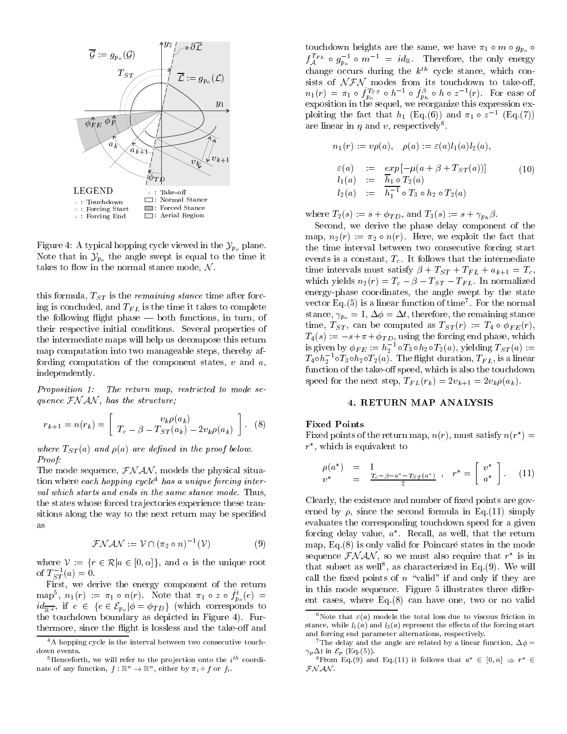

Figure 4: A typical hopping cycle viewed in the  $\mathcal{Y}_{p_0}$  plane. Note that in  $\mathcal{Y}_{p_o}$  the angle swept is equal to the time it takes to flow in the normal stance mode,  $\mathcal{N}$ .

this formula,  $T_{ST}$  is the *remaining stance* time after forcing is concluded, and  $T_{FL}$  is the time it takes to complete the following flight phase  $-$  both functions, in turn, of their respective initial conditions. Several properties of the intermediate maps will help us decompose this return map computation into two manageable steps, thereby affording computation of the component states,  $v$  and  $a$ , independently.

Proposition 1: The return map, restricted to mode sequence  $\mathcal{F}NAN$ , has the structure;

$$
r_{k+1} = n(r_k) = \left[ \frac{v_k \rho(a_k)}{T_c - \beta - T_{ST}(a_k) - 2v_k \rho(a_k)} \right].
$$
 (8)

where  $T_{ST}(a)$  and  $\rho(a)$  are defined in the proof below. Proof:

The mode sequence,  $\mathcal{F}NAN$ , models the physical situation where each hopping cycle<sup>4</sup> has a unique forcing interval which starts and ends in the same stance mode. Thus, the states whose forced trajectories experience these transitions along the way to the next return may be specified

$$
\mathcal{F} \mathcal{N} \mathcal{A} \mathcal{N} := \mathcal{V} \cap (\pi_2 \circ n)^{-1}(\mathcal{V}) \tag{9}
$$

where  $V := \{r \in \mathcal{R} | a \in [0, \alpha] \}$ , and  $\alpha$  is the unique root of  $T_{ST}^{-1}(a) = 0$ .

First, we derive the energy component of the return map,  $n_1(r) := \pi_1 \circ n(r)$ . Note that  $\pi_1 \circ z \circ f_{p_o}(e) =$  $id_{\overline{\mathbb{R}^+}}$ , if  $e \in \{e \in \mathcal{E}_{p_o} | \phi = \phi_{TD}\}\$  (which corresponds to the touchdown boundary as depicted in Figure 4). Furthermore, since the flight is lossless and the take-off and

touchdown heights are the same, we have  $\pi_1 \circ m \circ g_{p_o}$  $f_A^{I^*L} \circ g_{p_o}^{-1} \circ m^{-1} = \iota d_{\mathbb{R}}$ . Therefore, the only energy change occurs during the  $k^{th}$  cycle stance, which consists of NFN modes from its touchdown to take-o,  $n_1(r) = \pi_1 \circ f_{p_o}^{IST} \circ h^{-1} \circ f_{p_h}^{\rho} \circ h \circ z^{-1}(r)$ . For ease of exposition in the sequel, we reorganize this expression exploiting the fact that  $h_1$  (Eq.(6)) and  $\pi_1 \circ z^{-1}$  (Eq.(7)) are intear in  $\eta$  and  $v$ , respectively.

$$
n_1(r) := v\rho(a), \quad \rho(a) := \varepsilon(a)l_1(a)l_2(a),
$$
  
\n
$$
\varepsilon(a) := \exp[-\mu(a + \beta + T_{ST}(a))]
$$
  
\n
$$
l_1(a) := \frac{\overline{h}_1 \circ T_2(a)}{h_1^{-1} \circ T_3 \circ h_2 \circ T_2(a)}
$$
  
\n(10)

where  $T_2(s) := s + \phi_{TD}$ , and  $T_3(s) := s + \gamma_{p_b} \beta$ .

Second, we derive the phase delay component of the map,  $n_2(r) := \pi_2 \circ n(r)$ . Here, we exploit the fact that the time interval between two consecutive forcing start events is a constant,  $T_c$ . It follows that the intermediate time intervals must satisfy  $\beta + T_{ST} + T_{FL} + a_{k+1} = T_c$ , which yields  $n_2(r) = T_c - \beta - T_{ST} - T_{FL}$ . In normalized energy-phase coordinates, the angle swept by the state vector  $Eq. (5)$  is a linear function of time  $\overline{7}$  for the normal stance,  $\gamma_{p_o} = 1, \Delta \phi = \Delta t$ , therefore, the remaining stance time,  $T_{ST}$ , can be computed as  $T_{ST}(r) := T_4 \circ \phi_{FE}(r)$ , is given by  $\phi_{FE} := h_2^{-1} \circ T_3 \circ h_2 \circ T_2(a)$ , yielding  $T_{ST}(a) :=$  $T_4$ o $h_2^{-1}$ o $T_3$ o $h_2$ o $T_2(a)$ . The flight duration,  $T_{FL}$ , is a linear function of the take-off speed, which is also the touchdown speed for the next step,  $T_{FL}(r_k) = 2v_{k+1} = 2v_k\rho(a_k)$ .

#### 4. RETURN MAP ANALYSIS

#### Fixed Points

Fixed points of the return map,  $n(r)$ , must satisfy  $n(r^*) =$  $r^*$ , which is equivalent to

$$
\rho(a^*) = 1 \n v^* = \frac{T_c - \beta - a^* - T_{ST}(a^*)}{2} , \quad r^* = \begin{bmatrix} v^* \\ a^* \end{bmatrix} . \tag{11}
$$

Clearly, the existence and number of fixed points are governed by  $\rho$ , since the second formula in Eq.(11) simply evaluates the corresponding touchdown speed for a given forcing delay value,  $a^*$ . Recall, as well, that the return map, Eq. $(8)$  is only valid for Poincaré states in the mode sequence  $\mathcal{F}N \mathcal{A}N$ , so we must also require that  $r^*$  is in that subset as well, as characterized in Eq.(9). We will call the fixed points of  $n \text{ "valid" if and only if they are}$ in this mode sequence. Figure 5 illustrates three different cases, where Eq.(8) can have one, two or no valid

<sup>&</sup>lt;sup>4</sup>A hopping cycle is the interval between two consecutive touchdown events.

 $\tau$  - funceforth, we will refer to the projection onto the  $i$ ... coordinate of any function,  $f : \mathbb{R}^n \to \mathbb{R}^n$ , either by  $\pi_i \circ f$  or  $f_i$ .

<sup>&</sup>lt;sup>6</sup>Note that  $\varepsilon(a)$  models the total loss due to viscous friction in stance, while  $l_1(a)$  and  $l_2(a)$  represent the effects of the forcing start and forcing end parameter alternations, respectively.

<sup>&</sup>lt;sup>7</sup>The delay and the angle are related by a linear function,  $\Delta \phi =$ 

 $n^2$  is in Eq.(9) and Eq.(11) it follows that  $a^* \in [0, \alpha] \Rightarrow r^* \in$  $\mathcal{FN}$  AN .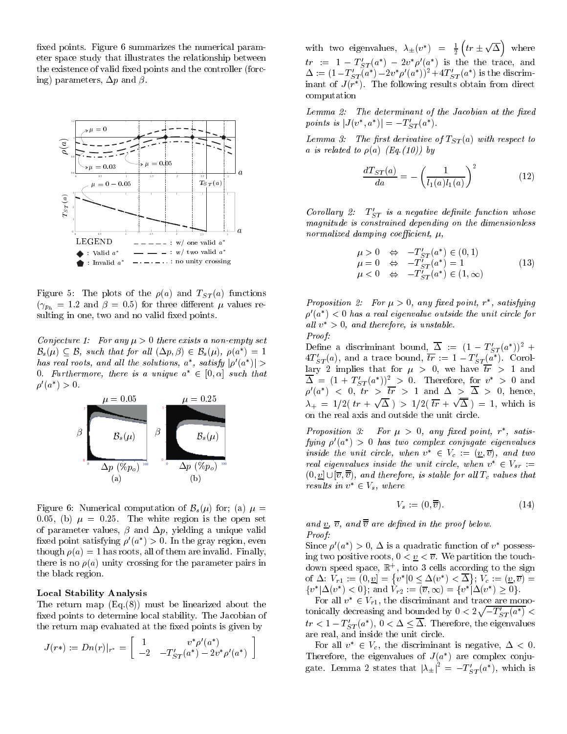xed points. Figure 6 summarizes the numerical parameter space study that illustrates the relationship between the existence of valid fixed points and the controller (forcing) parameters,  $\Delta p$  and  $\beta$ .



Figure 5: The plots of the  $\rho(a)$  and  $T_{ST}(a)$  functions  $(\gamma_{p_h} = 1.2 \text{ and } \beta = 0.5)$  for three different  $\mu$  values resulting in one, two and no valid fixed points.

Conjecture 1: For any  $\mu > 0$  there exists a non-empty set  $B_s(\mu) \subseteq \mathcal{B}$ , such that for all  $(\Delta p, \beta) \in \mathcal{B}_s(\mu)$ ,  $\rho(a^*) = 1$ has real roots, and all the solutions,  $a^*$ , satisfy  $|\rho'(a^*)| >$ 0. Furthermore, there is a unique  $a^* \in [0, \alpha]$  such that  $a'(a^*) > 0$ .



Figure 6: Numerical computation of  $\mathcal{B}_s(\mu)$  for; (a)  $\mu =$ 0.05, (b)  $\mu = 0.25$ . The white region is the open set of parameter values,  $\beta$  and  $\Delta p$ , yielding a unique valid fixed point satisfying  $\rho'(a^*) > 0$ . In the gray region, even though  $\rho(a) = 1$  has roots, all of them are invalid. Finally, there is no  $\rho(a)$  unity crossing for the parameter pairs in the black region.

#### Local Stability Analysis

The return map (Eq.(8)) must be linearized about the xed points to determine local stability. The Jacobian of the return map evaluated at the fixed points is given by

$$
J(r*) := Dn(r)|_{r^*} = \left[ \begin{array}{cc} 1 & v^* \rho'(a^*) \\ -2 & -T_{ST}'(a^*) - 2 v^* \rho'(a^*) \end{array} \right]
$$

with two eigenvalues,  $\lambda_{\pm}(v^*) = \frac{1}{2} \left( tr \pm \sqrt{\Delta} \right)$  where  $tr := 1 - T'_{ST}(a^*) - 2v^* \rho'(a^*)$  is the the trace, and  $\Delta := (1 - T_{ST}'(a^*) - 2v^*\rho'(a^*))^2 + 4T_{ST}'(a^*)$  is the discriminant of  $J(r^*)$ . The following results obtain from direct computation

 $Lemma 2:$  The determinant of the Jacobian at the fixed points is  $|J(v^*, a^*)| = -T'_{ST}(a^*)$ .

Lemma 3: The first derivative of  $T_{ST}(a)$  with respect to a is related to  $\rho(a)$  (Eq.(10)) by

$$
\frac{d T_{ST}(a)}{da} = -\left(\frac{1}{l_1(a)l_1(a)}\right)^2 \tag{12}
$$

Corollary 2:  $T_{ST}'$  is a negative definite function whose magnitude is constrained depending on the dimensionless normalized damping coefficient,  $\mu$ ,

$$
\mu > 0 \Leftrightarrow -T'_{ST}(a^*) \in (0, 1)
$$
  
\n
$$
\mu = 0 \Leftrightarrow -T'_{ST}(a^*) = 1
$$
  
\n
$$
\mu < 0 \Leftrightarrow -T'_{ST}(a^*) \in (1, \infty)
$$
\n(13)

Proposition 2: For  $\mu > 0$ , any fixed point,  $r^*$ , satisfying  $\rho'(a^*)$  < 0 has a real eigenvalue outside the unit circle for all  $v^* > 0$ , and therefore, is unstable. Proof:

 $\int_{t_1}^{t_2}$  lary 2 implies that for  $\mu > 0$ , we have  $\overline{tr} > 1$  and Define a discriminant bound,  $\Delta := (1 - T_{ST}'(a^*))^2 +$  $4T'_{ST}(a)$ , and a trace bound,  $\overline{tr} := 1 - T'_{ST}(a^*)$ . Corol- $\Delta = (1 + T'_{ST}(a^*))^2 > 0$ . Therefore, for  $v^* > 0$  and  $\rho'(a^*)$   $\langle$  0, tr  $\rangle$   $\overline{tr}$   $>$  1 and  $\Delta$   $>$   $\Delta$   $>$  0, hence,  $\lambda_{+} = 1/2(\ tr + \sqrt{\Delta}) > 1/2(\ \overline{tr} + \sqrt{\Delta}) = 1$ , which is on the real axis and outside the unit circle.

> Proposition 3: For  $\mu > 0$ , any fixed point,  $r^*$ , satisfying  $\rho'(a^*)$  > 0 has two complex conjugate eigenvalues inside the unit circle, when  $v^* \in V_c := (\underline{v}, \overline{v})$ , and two real eigenvalues inside the unit circle, when  $v^* \in V_{sr}$  :=  $(0, v] \cup [\overline{v}, \overline{\overline{v}})$ , and therefore, is stable for all  $T_c$  values that results in  $v^* \in V_s$ , where

$$
V_s := (0, \overline{v}).\tag{14}
$$

and  $\underline{v}, \overline{v},$  and  $\overline{\overline{v}}$  are defined in the proof below. Proof:

Since  $\rho'(a^*) > 0$ ,  $\Delta$  is a quadratic function of  $v^*$  possessing two positive roots,  $0 < v < \overline{v}$ . We partition the touch- $\alpha$  above space,  $\alpha$  , the  $\alpha$  cells according to the sign of  $\Delta: V_{r1} := (0, v] = \{v^* | 0 \le \Delta(v^*) < \overline{\Delta}\}; V_c := (v, \overline{v})$   $\cdots$   $\cdots$   $\cdots$   $\cdots$  $\{v^*|\Delta(v^*)<0\}$ ; and  $V_{r2} := (\overline{v}, \infty) = \{v^*|\Delta(v^*)>0\}$ .

For all  $v^* \in V_{r1}$ , the discriminant and trace are monotonically decreasing and bounded by  $0 < 2\sqrt{-T_{ST}'(a^*)} <$  $tr < 1 - T'_{ST}(a^*), 0 < \Delta \leq \Delta$ . Therefore, the eigenvalues are real, and inside the unit circle.

For all  $v^* \in V_c$ , the discriminant is negative,  $\Delta < 0$ . Therefore, the eigenvalues of  $J(a^*)$  are complex conjugate. Lemma 2 states that  $|\lambda_{\pm}|^2 = -T'_{ST}(a^*)$ , which is